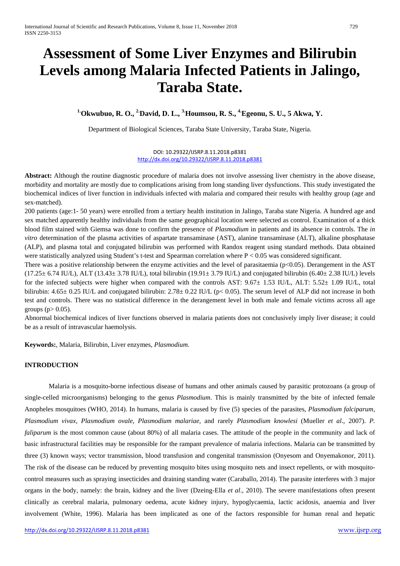# **Assessment of Some Liver Enzymes and Bilirubin Levels among Malaria Infected Patients in Jalingo, Taraba State.**

**1.Okwubuo, R. O., 2.David, D. L., 3.Houmsou, R. S., 4.Egeonu, S. U., 5 Akwa, Y.**

Department of Biological Sciences, Taraba State University, Taraba State, Nigeria.

DOI: 10.29322/IJSRP.8.11.2018.p8381 <http://dx.doi.org/10.29322/IJSRP.8.11.2018.p8381>

**Abstract:** Although the routine diagnostic procedure of malaria does not involve assessing liver chemistry in the above disease, morbidity and mortality are mostly due to complications arising from long standing liver dysfunctions. This study investigated the biochemical indices of liver function in individuals infected with malaria and compared their results with healthy group (age and sex-matched).

200 patients (age:1- 50 years) were enrolled from a tertiary health institution in Jalingo, Taraba state Nigeria. A hundred age and sex matched apparently healthy individuals from the same geographical location were selected as control. Examination of a thick blood film stained with Giemsa was done to confirm the presence of *Plasmodium* in patients and its absence in controls. The *in vitro* determination of the plasma activities of aspartate transaminase (AST), alanine transaminase (ALT), alkaline phosphatase (ALP), and plasma total and conjugated bilirubin was performed with Randox reagent using standard methods. Data obtained were statistically analyzed using Student's t-test and Spearman correlation where P < 0.05 was considered significant.

There was a positive relationship between the enzyme activities and the level of parasitaemia (p<0.05). Derangement in the AST  $(17.25\pm 6.74 \text{ IU/L})$ , ALT  $(13.43\pm 3.78 \text{ IU/L})$ , total bilirubin  $(19.91\pm 3.79 \text{ IU/L})$  and conjugated bilirubin  $(6.40\pm 2.38 \text{ IU/L})$  levels for the infected subjects were higher when compared with the controls AST: 9.67 $\pm$  1.53 IU/L, ALT: 5.52 $\pm$  1.09 IU/L, total bilirubin:  $4.65\pm0.25$  IU/L and conjugated bilirubin:  $2.78\pm0.22$  IU/L (p< 0.05). The serum level of ALP did not increase in both test and controls. There was no statistical difference in the derangement level in both male and female victims across all age groups ( $p > 0.05$ ).

Abnormal biochemical indices of liver functions observed in malaria patients does not conclusively imply liver disease; it could be as a result of intravascular haemolysis.

**Keywords:**, Malaria, Bilirubin, Liver enzymes, *Plasmodium.*

### **INTRODUCTION**

Malaria is a [mosquito-borne infectious disease](https://en.wikipedia.org/wiki/Mosquito-borne_disease) of humans and other animals caused by parasitic [protozoans](https://en.wikipedia.org/wiki/Protozoa) (a group of single-celled [microorganisms\)](https://en.wikipedia.org/wiki/Microorganism) belonging to the genus *[Plasmodium](https://en.wikipedia.org/wiki/Plasmodium)*. This is mainly transmitted by the bite of infected female Anopheles mosquitoes (WHO, 2014). In humans, malaria is caused by five (5) species of the parasites, *Plasmodium falciparum*, *Plasmodium vivax*, *Plasmodium ovale*, *Plasmodium malariae*, and rarely *Plasmodium knowlesi* (Mueller *et al*., 2007). *P. faliparum* is the most common cause (about 80%) of all malaria cases. The attitude of the people in the community and lack of basic infrastructural facilities may be responsible for the rampant prevalence of malaria infections. Malaria can be transmitted by three (3) known ways; vector transmission, blood transfusion and congenital transmission (Onyesom and Onyemakonor, 2011). The risk of the disease can be reduced by preventing mosquito bites using [mosquito nets](https://en.wikipedia.org/wiki/Mosquito_net) and [insect repellents,](https://en.wikipedia.org/wiki/Insect_repellent) or with mosquitocontrol measures such as spraying [insecticides](https://en.wikipedia.org/wiki/Insecticide) and draining standing water (Caraballo, 2014). The parasite interferes with 3 major organs in the body, namely: the brain, kidney and the liver (Dzeing-Ella *et al*., 2010). The severe manifestations often present clinically as cerebral malaria, pulmonary oedema, acute kidney injury, hypoglycaemia, lactic acidosis, anaemia and liver involvement (White, 1996). Malaria has been implicated as one of the factors responsible for human renal and hepatic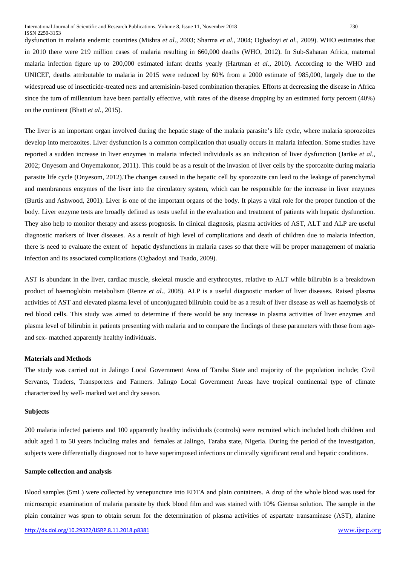dysfunction in malaria endemic countries (Mishra *et al*., 2003; Sharma *et al*., 2004; Ogbadoyi *et al*., 2009). WHO estimates that in 2010 there were 219 million cases of malaria resulting in 660,000 deaths (WHO, 2012). In [Sub-Saharan Africa,](https://en.wikipedia.org/wiki/Sub-Saharan_Africa) maternal malaria infection figure up to 200,000 estimated infant deaths yearly (Hartman *et al*., 2010). According to the WHO and UNICEF, deaths attributable to malaria in 2015 were reduced by 60% from a 2000 estimate of 985,000, largely due to the widespread use of insecticide-treated nets and artemisinin-based combination therapies. Efforts at decreasing the disease in Africa since the turn of millennium have been partially effective, with rates of the disease dropping by an estimated forty percent (40%) on the continent (Bhatt *et al*., 2015).

The liver is an important organ involved during the hepatic stage of the malaria parasite's life cycle, where malaria sporozoites develop into merozoites. Liver dysfunction is a common complication that usually occurs in malaria infection. Some studies have reported a sudden increase in liver enzymes in malaria infected individuals as an indication of liver dysfunction (Jarike *et al*., 2002; Onyesom and Onyemakonor, 2011). This could be as a result of the invasion of liver cells by the sporozoite during malaria parasite life cycle (Onyesom, 2012).The changes caused in the hepatic cell by sporozoite can lead to the leakage of parenchymal and membranous enzymes of the liver into the circulatory system, which can be responsible for the increase in liver enzymes (Burtis and Ashwood, 2001). Liver is one of the important organs of the body. It plays a vital role for the proper function of the body. Liver enzyme tests are broadly defined as tests useful in the evaluation and treatment of patients with hepatic dysfunction. They also help to monitor therapy and assess prognosis. In clinical diagnosis, plasma activities of AST, ALT and ALP are useful diagnostic markers of liver diseases. As a result of high level of complications and death of children due to malaria infection, there is need to evaluate the extent of hepatic dysfunctions in malaria cases so that there will be proper management of malaria infection and its associated complications (Ogbadoyi and Tsado, 2009).

AST is abundant in the liver, cardiac muscle, skeletal muscle and erythrocytes, relative to ALT while bilirubin is a breakdown product of haemoglobin metabolism (Renze *et al*., 2008). ALP is a useful diagnostic marker of liver diseases. Raised plasma activities of AST and elevated plasma level of unconjugated bilirubin could be as a result of liver disease as well as haemolysis of red blood cells. This study was aimed to determine if there would be any increase in plasma activities of liver enzymes and plasma level of bilirubin in patients presenting with malaria and to compare the findings of these parameters with those from ageand sex- matched apparently healthy individuals.

### **Materials and Methods**

The study was carried out in Jalingo Local Government Area of Taraba State and majority of the population include; Civil Servants, Traders, Transporters and Farmers. Jalingo Local Government Areas have tropical continental type of climate characterized by well- marked wet and dry season.

### **Subjects**

200 malaria infected patients and 100 apparently healthy individuals (controls) were recruited which included both children and adult aged 1 to 50 years including males and females at Jalingo, Taraba state, Nigeria. During the period of the investigation, subjects were differentially diagnosed not to have superimposed infections or clinically significant renal and hepatic conditions.

### **Sample collection and analysis**

Blood samples (5mL) were collected by venepuncture into EDTA and plain containers. A drop of the whole blood was used for microscopic examination of malaria parasite by thick blood film and was stained with 10% Giemsa solution. The sample in the plain container was spun to obtain serum for the determination of plasma activities of aspartate transaminase (AST), alanine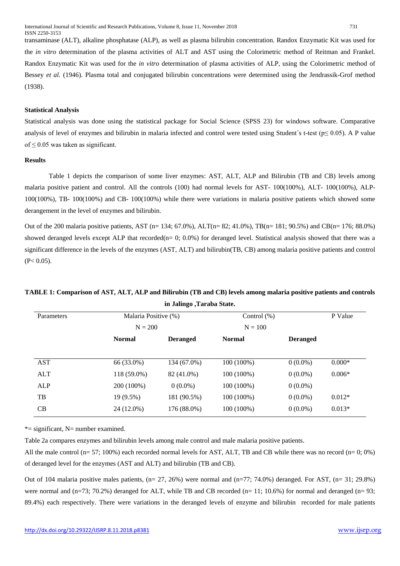transaminase (ALT), alkaline phosphatase (ALP), as well as plasma bilirubin concentration. Randox Enzymatic Kit was used for the *in vitro* determination of the plasma activities of ALT and AST using the Colorimetric method of Reitman and Frankel. Randox Enzymatic Kit was used for the *in vitro* determination of plasma activities of ALP, using the Colorimetric method of Bessey *et al.* (1946). Plasma total and conjugated bilirubin concentrations were determined using the Jendrassik-Grof method (1938).

#### **Statistical Analysis**

Statistical analysis was done using the statistical package for Social Science (SPSS 23) for windows software. Comparative analysis of level of enzymes and bilirubin in malaria infected and control were tested using Student´s t-test ( $p \le 0.05$ ). A P value of  $\leq$  0.05 was taken as significant.

### **Results**

Table 1 depicts the comparison of some liver enzymes: AST, ALT, ALP and Bilirubin (TB and CB) levels among malaria positive patient and control. All the controls (100) had normal levels for AST- 100(100%), ALT- 100(100%), ALP-100(100%), TB- 100(100%) and CB- 100(100%) while there were variations in malaria positive patients which showed some derangement in the level of enzymes and bilirubin.

Out of the 200 malaria positive patients, AST (n= 134; 67.0%), ALT(n= 82; 41.0%), TB(n= 181; 90.5%) and CB(n= 176; 88.0%) showed deranged levels except ALP that recorded( $n= 0$ ; 0.0%) for deranged level. Statistical analysis showed that there was a significant difference in the levels of the enzymes (AST, ALT) and bilirubin(TB, CB) among malaria positive patients and control  $(P< 0.05)$ .

| Parameters | Malaria Positive (%)<br>$N = 200$ |                 | Control $(\%)$<br>$N = 100$ | P Value         |          |
|------------|-----------------------------------|-----------------|-----------------------------|-----------------|----------|
|            |                                   |                 |                             |                 |          |
|            | <b>Normal</b>                     | <b>Deranged</b> | <b>Normal</b>               | <b>Deranged</b> |          |
|            |                                   |                 |                             |                 |          |
| <b>AST</b> | 66 (33.0%)                        | 134 (67.0%)     | 100 (100%)                  | $0(0.0\%)$      | $0.000*$ |
| <b>ALT</b> | 118 (59.0%)                       | 82 (41.0%)      | 100 (100%)                  | $0(0.0\%)$      | $0.006*$ |
| <b>ALP</b> | 200 (100%)                        | $0(0.0\%)$      | 100 (100%)                  | $0(0.0\%)$      |          |
| TB         | 19(9.5%)                          | 181 (90.5%)     | 100 (100%)                  | $0(0.0\%)$      | $0.012*$ |
| CB         | 24 (12.0%)                        | 176 (88.0%)     | 100 (100%)                  | $0(0.0\%)$      | $0.013*$ |

## **TABLE 1: Comparison of AST, ALT, ALP and Bilirubin (TB and CB) levels among malaria positive patients and controls in Jalingo ,Taraba State.**

 $*$ = significant, N= number examined.

Table 2a compares enzymes and bilirubin levels among male control and male malaria positive patients.

All the male control ( $n= 57$ ; 100%) each recorded normal levels for AST, ALT, TB and CB while there was no record ( $n= 0$ ; 0%) of deranged level for the enzymes (AST and ALT) and bilirubin (TB and CB).

Out of 104 malaria positive males patients,  $(n= 27, 26%)$  were normal and  $(n=77, 74.0%)$  deranged. For AST,  $(n= 31, 29.8%)$ were normal and (n=73; 70.2%) deranged for ALT, while TB and CB recorded (n= 11; 10.6%) for normal and deranged (n= 93; 89.4%) each respectively. There were variations in the deranged levels of enzyme and bilirubin recorded for male patients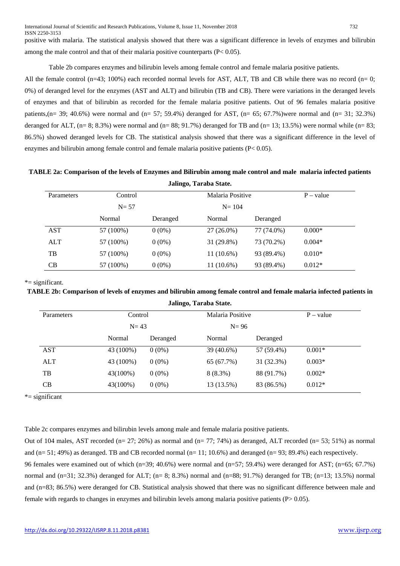Table 2b compares enzymes and bilirubin levels among female control and female malaria positive patients. All the female control (n=43; 100%) each recorded normal levels for AST, ALT, TB and CB while there was no record (n= 0; 0%) of deranged level for the enzymes (AST and ALT) and bilirubin (TB and CB). There were variations in the deranged levels of enzymes and that of bilirubin as recorded for the female malaria positive patients. Out of 96 females malaria positive patients,(n= 39; 40.6%) were normal and (n= 57; 59.4%) deranged for AST, (n= 65; 67.7%)were normal and (n= 31; 32.3%) deranged for ALT,  $(n= 8; 8.3%)$  were normal and  $(n= 88; 91.7%)$  deranged for TB and  $(n= 13; 13.5%)$  were normal while  $(n= 83;$ 86.5%) showed deranged levels for CB. The statistical analysis showed that there was a significant difference in the level of enzymes and bilirubin among female control and female malaria positive patients (P< 0.05).

**TABLE 2a: Comparison of the levels of Enzymes and Bilirubin among male control and male malaria infected patients Jalingo, Taraba State.**

| Parameters | Control   |          |              | Malaria Positive |          |  |
|------------|-----------|----------|--------------|------------------|----------|--|
|            | $N = 57$  |          | $N = 104$    |                  |          |  |
|            | Normal    | Deranged | Normal       | Deranged         |          |  |
| AST        | 57 (100%) | $0(0\%)$ | $27(26.0\%)$ | 77 (74.0%)       | $0.000*$ |  |
| ALT        | 57 (100%) | $0(0\%)$ | 31 (29.8%)   | 73 (70.2%)       | $0.004*$ |  |
| TB         | 57 (100%) | $0(0\%)$ | $11(10.6\%)$ | 93 (89.4%)       | $0.010*$ |  |
| CB         | 57 (100%) | $0(0\%)$ | $11(10.6\%)$ | 93 (89.4%)       | $0.012*$ |  |

### \*= significant.

**TABLE 2b: Comparison of levels of enzymes and bilirubin among female control and female malaria infected patients in** 

|            | Jalingo, Taraba State. |                             |            |            |             |  |  |
|------------|------------------------|-----------------------------|------------|------------|-------------|--|--|
| Parameters |                        | Malaria Positive<br>Control |            |            | $P - value$ |  |  |
|            | $N = 43$               |                             | $N=96$     |            |             |  |  |
|            | Normal                 | Deranged                    | Normal     | Deranged   |             |  |  |
| <b>AST</b> | 43 (100%)              | $0(0\%)$                    | 39 (40.6%) | 57 (59.4%) | $0.001*$    |  |  |
| <b>ALT</b> | 43 (100%)              | $0(0\%)$                    | 65 (67.7%) | 31 (32.3%) | $0.003*$    |  |  |
| TB         | 43(100%)               | $0(0\%)$                    | $8(8.3\%)$ | 88 (91.7%) | $0.002*$    |  |  |
| <b>CB</b>  | 43(100%)               | $0(0\%)$                    | 13 (13.5%) | 83 (86.5%) | $0.012*$    |  |  |

\*= significant

Table 2c compares enzymes and bilirubin levels among male and female malaria positive patients.

Out of 104 males, AST recorded (n= 27; 26%) as normal and (n= 77; 74%) as deranged, ALT recorded (n= 53; 51%) as normal and (n= 51; 49%) as deranged. TB and CB recorded normal (n=  $11$ ; 10.6%) and deranged (n= 93; 89.4%) each respectively. 96 females were examined out of which (n=39; 40.6%) were normal and (n=57; 59.4%) were deranged for AST; (n=65; 67.7%) normal and  $(n=31; 32.3%)$  deranged for ALT;  $(n=8; 8.3%)$  normal and  $(n=88; 91.7%)$  deranged for TB;  $(n=13; 13.5%)$  normal

and (n=83; 86.5%) were deranged for CB. Statistical analysis showed that there was no significant difference between male and female with regards to changes in enzymes and bilirubin levels among malaria positive patients (P> 0.05).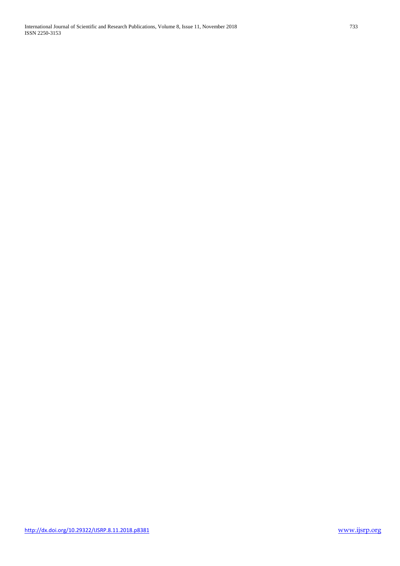International Journal of Scientific and Research Publications, Volume 8, Issue 11, November 2018 733 ISSN 2250-3153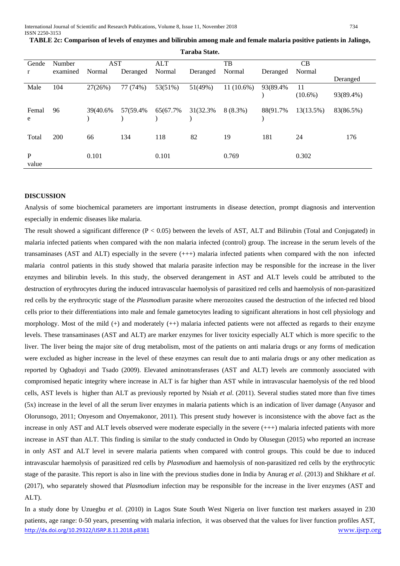| 1 ui usu seuve |          |             |          |              |           |              |           |             |           |
|----------------|----------|-------------|----------|--------------|-----------|--------------|-----------|-------------|-----------|
| Gende          | Number   | <b>AST</b>  |          | <b>ALT</b>   |           | TB           |           | CB          |           |
| r              | examined | Normal      | Deranged | Normal       | Deranged  | Normal       | Deranged  | Normal      |           |
|                |          |             |          |              |           |              |           |             | Deranged  |
| Male           | 104      | 27(26%)     | 77 (74%) | 53(51%)      | 51(49%)   | $11(10.6\%)$ | 93(89.4%) | 11          |           |
|                |          |             |          |              |           |              |           | $(10.6\%)$  | 93(89.4%) |
|                |          |             |          |              |           |              |           |             |           |
| Femal          | 96       | 39(40.6%)   | 57(59.4% | 65(67.7%     | 31(32.3%) | $8(8.3\%)$   | 88(91.7%) | 13(13.5%)   | 83(86.5%) |
| e              |          |             |          |              |           |              |           |             |           |
|                |          |             |          |              |           |              |           |             |           |
|                |          |             |          |              |           |              |           |             |           |
|                |          |             |          |              |           |              |           |             |           |
|                |          |             |          |              |           |              |           |             |           |
|                |          |             |          |              |           |              |           |             |           |
| value          |          |             |          |              |           |              |           |             |           |
| Total<br>P     | 200      | 66<br>0.101 | 134      | 118<br>0.101 | 82        | 19<br>0.769  | 181       | 24<br>0.302 | 176       |

**TABLE 2c: Comparison of levels of enzymes and bilirubin among male and female malaria positive patients in Jalingo, Taraba State.**

### **DISCUSSION**

Analysis of some biochemical parameters are important instruments in disease detection, prompt diagnosis and intervention especially in endemic diseases like malaria.

The result showed a significant difference  $(P < 0.05)$  between the levels of AST, ALT and Bilirubin (Total and Conjugated) in malaria infected patients when compared with the non malaria infected (control) group. The increase in the serum levels of the transaminases (AST and ALT) especially in the severe (+++) malaria infected patients when compared with the non infected malaria control patients in this study showed that malaria parasite infection may be responsible for the increase in the liver enzymes and bilirubin levels. In this study, the observed derangement in AST and ALT levels could be attributed to the destruction of erythrocytes during the induced intravascular haemolysis of parasitized red cells and haemolysis of non-parasitized red cells by the erythrocytic stage of the *Plasmodium* parasite where merozoites caused the destruction of the infected red blood cells prior to their differentiations into male and female gametocytes leading to significant alterations in host cell physiology and morphology. Most of the mild (+) and moderately (++) malaria infected patients were not affected as regards to their enzyme levels. These transaminases (AST and ALT) are marker enzymes for liver toxicity especially ALT which is more specific to the liver. The liver being the major site of drug metabolism, most of the patients on anti malaria drugs or any forms of medication were excluded as higher increase in the level of these enzymes can result due to anti malaria drugs or any other medication as reported by Ogbadoyi and Tsado (2009). Elevated aminotransferases (AST and ALT) levels are commonly associated with compromised hepatic integrity where increase in ALT is far higher than AST while in intravascular haemolysis of the red blood cells, AST levels is higher than ALT as previously reported by Nsiah *et al*. (2011). Several studies stated more than five times (5x) increase in the level of all the serum liver enzymes in malaria patients which is an indication of liver damage (Anyasor and Olorunsogo, 2011; Onyesom and Onyemakonor, 2011). This present study however is inconsistence with the above fact as the increase in only AST and ALT levels observed were moderate especially in the severe (+++) malaria infected patients with more increase in AST than ALT. This finding is similar to the study conducted in Ondo by Olusegun (2015) who reported an increase in only AST and ALT level in severe malaria patients when compared with control groups. This could be due to induced intravascular haemolysis of parasitized red cells by *Plasmodium* and haemolysis of non-parasitized red cells by the erythrocytic stage of the parasite. This report is also in line with the previous studies done in India by Anurag *et al*. (2013) and Shikhare *et al*. (2017), who separately showed that *Plasmodium* infection may be responsible for the increase in the liver enzymes (AST and ALT).

<http://dx.doi.org/10.29322/IJSRP.8.11.2018.p8381> [www.ijsrp.org](http://ijsrp.org/) In a study done by Uzuegbu *et al*. (2010) in Lagos State South West Nigeria on liver function test markers assayed in 230 patients, age range: 0-50 years, presenting with malaria infection, it was observed that the values for liver function profiles AST,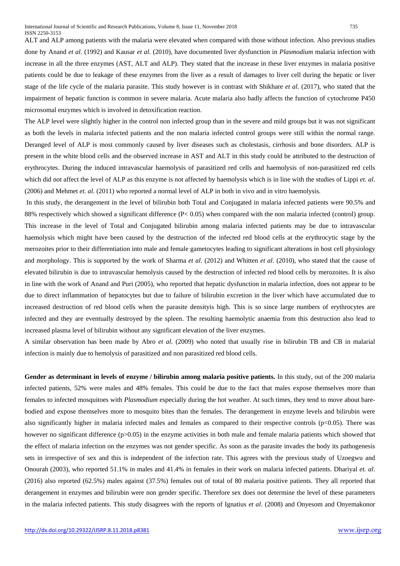ALT and ALP among patients with the malaria were elevated when compared with those without infection. Also previous studies done by Anand *et al*. (1992) and Kausar *et al*. (2010), have documented liver dysfunction in *Plasmodium* malaria infection with increase in all the three enzymes (AST, ALT and ALP). They stated that the increase in these liver enzymes in malaria positive patients could be due to leakage of these enzymes from the liver as a result of damages to liver cell during the hepatic or liver stage of the life cycle of the malaria parasite. This study however is in contrast with Shikhare *et al*. (2017), who stated that the impairment of hepatic function is common in severe malaria. Acute malaria also badly affects the function of cytochrome P450 microsomal enzymes which is involved in detoxification reaction.

The ALP level were slightly higher in the control non infected group than in the severe and mild groups but it was not significant as both the levels in malaria infected patients and the non malaria infected control groups were still within the normal range. Deranged level of ALP is most commonly caused by liver diseases such as cholestasis, cirrhosis and bone disorders. ALP is present in the white blood cells and the observed increase in AST and ALT in this study could be attributed to the destruction of erythrocytes. During the induced intravascular haemolysis of parasitized red cells and haemolysis of non-parasitized red cells which did not affect the level of ALP as this enzyme is not affected by haemolysis which is in line with the studies of Lippi *et. al*. (2006) and Mehmet *et. al*. (2011) who reported a normal level of ALP in both in vivo and in vitro haemolysis.

In this study, the derangement in the level of bilirubin both Total and Conjugated in malaria infected patients were 90.5% and 88% respectively which showed a significant difference (P< 0.05) when compared with the non malaria infected (control) group. This increase in the level of Total and Conjugated bilirubin among malaria infected patients may be due to intravascular haemolysis which might have been caused by the destruction of the infected red blood cells at the erythrocytic stage by the merozoites prior to their differentiation into male and female gametocytes leading to significant alterations in host cell physiology and morphology. This is supported by the work of Sharma *et al*. (2012) and Whitten *et al*. (2010), who stated that the cause of elevated bilirubin is due to intravascular hemolysis caused by the destruction of infected red blood cells by merozoites. It is also in line with the work of Anand and Puri (2005), who reported that hepatic dysfunction in malaria infection, does not appear to be due to direct inflammation of hepatocytes but due to failure of bilirubin excretion in the liver which have accumulated due to increased destruction of red blood cells when the parasite densityis high. This is so since large numbers of erythrocytes are infected and they are eventually destroyed by the spleen. The resulting haemolytic anaemia from this destruction also lead to increased plasma level of bilirubin without any significant elevation of the liver enzymes.

A similar observation has been made by Abro *et al*. (2009) who noted that usually rise in bilirubin TB and CB in malarial infection is mainly due to hemolysis of parasitized and non parasitized red blood cells.

**Gender as determinant in levels of enzyme / bilirubin among malaria positive patients.** In this study, out of the 200 malaria infected patients, 52% were males and 48% females. This could be due to the fact that males expose themselves more than females to infected mosquitoes with *Plasmodium* especially during the hot weather. At such times, they tend to move about barebodied and expose themselves more to mosquito bites than the females. The derangement in enzyme levels and bilirubin were also significantly higher in malaria infected males and females as compared to their respective controls (p<0.05). There was however no significant difference (p>0.05) in the enzyme activities in both male and female malaria patients which showed that the effect of malaria infection on the enzymes was not gender specific. As soon as the parasite invades the body its pathogenesis sets in irrespective of sex and this is independent of the infection rate. This agrees with the previous study of Uzoegwu and Onourah (2003), who reported 51.1% in males and 41.4% in females in their work on malaria infected patients. Dhariyal *et. al*. (2016) also reported (62.5%) males against (37.5%) females out of total of 80 malaria positive patients. They all reported that derangement in enzymes and bilirubin were non gender specific. Therefore sex does not determine the level of these parameters in the malaria infected patients. This study disagrees with the reports of Ignatius *et al*. (2008) and Onyesom and Onyemakonor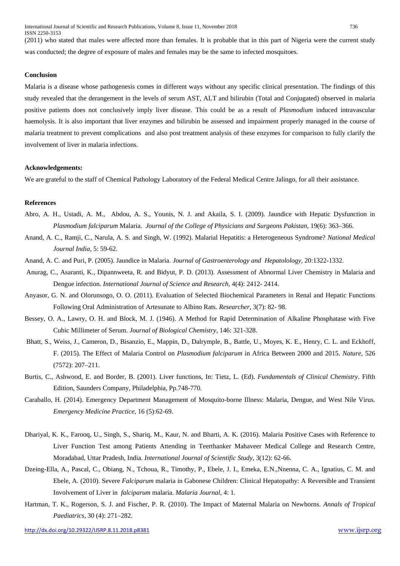International Journal of Scientific and Research Publications, Volume 8, Issue 11, November 2018 736 ISSN 2250-3153

(2011) who stated that males were affected more than females. It is probable that in this part of Nigeria were the current study was conducted; the degree of exposure of males and females may be the same to infected mosquitoes.

### **Conclusion**

Malaria is a disease whose pathogenesis comes in different ways without any specific clinical presentation. The findings of this study revealed that the derangement in the levels of serum AST, ALT and bilirubin (Total and Conjugated) observed in malaria positive patients does not conclusively imply liver disease. This could be as a result of *Plasmodium* induced intravascular haemolysis. It is also important that liver enzymes and bilirubin be assessed and impairment properly managed in the course of malaria treatment to prevent complications and also post treatment analysis of these enzymes for comparison to fully clarify the involvement of liver in malaria infections.

### **Acknowledgements:**

We are grateful to the staff of Chemical Pathology Laboratory of the Federal Medical Centre Jalingo, for all their assistance.

### **References**

- Abro, A. H., Ustadi, A. M., Abdou, A. S., Younis, N. J. and Akaila, S. I. (2009). Jaundice with Hepatic Dysfunction in *Plasmodium falciparum* Malaria. *Journal of the College of Physicians and Surgeons Pakistan*, 19(6): 363–366.
- Anand, A. C., Ramji, C., Narula, A. S. and Singh, W. (1992). Malarial Hepatitis: a Heterogeneous Syndrome? *National Medical Journal India*, 5: 59-62.
- Anand, A. C. and Puri, P. (2005). Jaundice in Malaria. *Journal of Gastroenterology and Hepatolology,* 20:1322-1332.
- Anurag, C., Asaranti, K., Dipannweeta, R. and Bidyut, P. D. (2013). Assessment of Abnormal Liver Chemistry in Malaria and Dengue infection. *International Journal of Science and Research,* 4(4): 2412- 2414.
- Anyasor, G. N. and Olorunsogo, O. O. (2011). Evaluation of Selected Biochemical Parameters in Renal and Hepatic Functions Following Oral Administration of Artesunate to Albino Rats. *Researcher*, 3(7): 82- 98.
- Bessey, O. A., Lawry, O. H. and Block, M. J. (1946). A Method for Rapid Determination of Alkaline Phosphatase with Five Cubic Millimeter of Serum. *Journal of Biological Chemistry*, 146: 321-328.
- Bhatt, S., Weiss, J., Cameron, D., Bisanzio, E., Mappin, D., Dalrymple, B., Battle, U., Moyes, K. E., Henry, C. L. and Eckhoff, F. (2015). The Effect of Malaria Control on *Plasmodium falciparum* in Africa Between 2000 and 2015. *Nature,* 526 (7572): 207–211.
- Burtis, C., Ashwood, E. and Border, B. (2001). Liver functions, In: Tietz, L. (Ed). *Fundamentals of Clinical Chemistry*. Fifth Edition, Saunders Company, Philadelphia, Pp.748-770.
- Caraballo, H. (2014). Emergency Department Management of Mosquito-borne Illness: Malaria, Dengue, and West Nile Virus. *Emergency Medicine Practice,* 16 (5):62-69.
- Dhariyal, K. K., Farooq, U., Singh, S., Shariq, M., Kaur, N. and Bharti, A. K. (2016). Malaria Positive Cases with Reference to Liver Function Test among Patients Attending in Teerthanker Mahaveer Medical College and Research Centre, Moradabad, Uttar Pradesh, India. *International Journal of Scientific Study*, 3(12): 62-66.
- Dzeing-Ella, A., Pascal, C., Obiang, N., Tchoua, R., Timothy, P., Ebele, J. I., Emeka, E.N.,Nnenna, C. A., Ignatius, C. M. and Ebele, A. (2010). Severe *Falciparum* malaria in Gabonese Children: Clinical Hepatopathy: A Reversible and Transient Involvement of Liver in *falciparum* malaria. *Malaria Journal,* 4: 1.
- Hartman, T. K., Rogerson, S. J. and Fischer, P. R. (2010). The Impact of Maternal Malaria on Newborns. *Annals of Tropical Paediatrics,* 30 (4): 271–282.